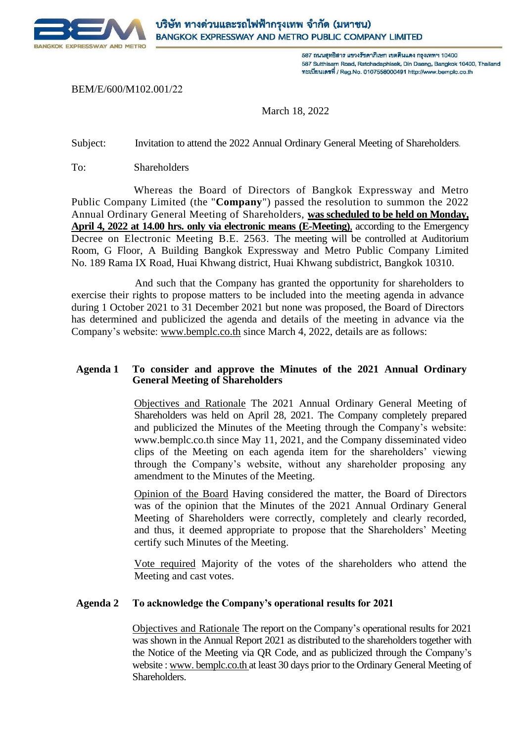

587 ถนนสุทธิสาร แขวงรัชดาภิเษก เขตตินแดง กรุงเทพฯ 10400 587 Sutthisam Road, Ratchadaphisek, Din Daeng, Bangkok 10400, Thailand ทะเบียนเลขที่ / Reg.No. 0107558000491 http://www.bemplc.co.th

BEM/E/600/M102.001/22

March 18, 2022

### Subject: Invitation to attend the 2022 Annual Ordinary General Meeting of Shareholders.

To: Shareholders

Whereas the Board of Directors of Bangkok Expressway and Metro Public Company Limited (the "**Company**") passed the resolution to summon the 2022 Annual Ordinary General Meeting of Shareholders, **was scheduled to be held on Monday, April 4, 2022 at 14.00 hrs. only via electronic means (E-Meeting)**, according to the Emergency Decree on Electronic Meeting B.E. 2563. The meeting will be controlled at Auditorium Room, G Floor, A Building Bangkok Expressway and Metro Public Company Limited No. 189 Rama IX Road, Huai Khwang district, Huai Khwang subdistrict, Bangkok 10310.

And such that the Company has granted the opportunity for shareholders to exercise their rights to propose matters to be included into the meeting agenda in advance during 1 October 2021 to 31 December 2021 but none was proposed, the Board of Directors has determined and publicized the agenda and details of the meeting in advance via the Company's website: www.bemplc.co.th since March 4, 2022, details are as follows:

### **Agenda 1 To consider and approve the Minutes of the 2021 Annual Ordinary General Meeting of Shareholders**

Objectives and Rationale The 2021 Annual Ordinary General Meeting of Shareholders was held on April 28, 2021. The Company completely prepared and publicized the Minutes of the Meeting through the Company's website: www.bemplc.co.th since May 11, 2021, and the Company disseminated video clips of the Meeting on each agenda item for the shareholders' viewing through the Company's website, without any shareholder proposing any amendment to the Minutes of the Meeting.

Opinion of the Board Having considered the matter, the Board of Directors was of the opinion that the Minutes of the 2021 Annual Ordinary General Meeting of Shareholders were correctly, completely and clearly recorded, and thus, it deemed appropriate to propose that the Shareholders' Meeting certify such Minutes of the Meeting.

Vote required Majority of the votes of the shareholders who attend the Meeting and cast votes.

## **Agenda 2 To acknowledge the Company's operational results for 2021**

Objectives and Rationale The report on the Company's operational results for 2021 was shown in the Annual Report 2021 as distributed to the shareholders together with the Notice of the Meeting via QR Code, and as publicized through the Company's website : www. bemplc.co.th at least 30 days prior to the Ordinary General Meeting of Shareholders.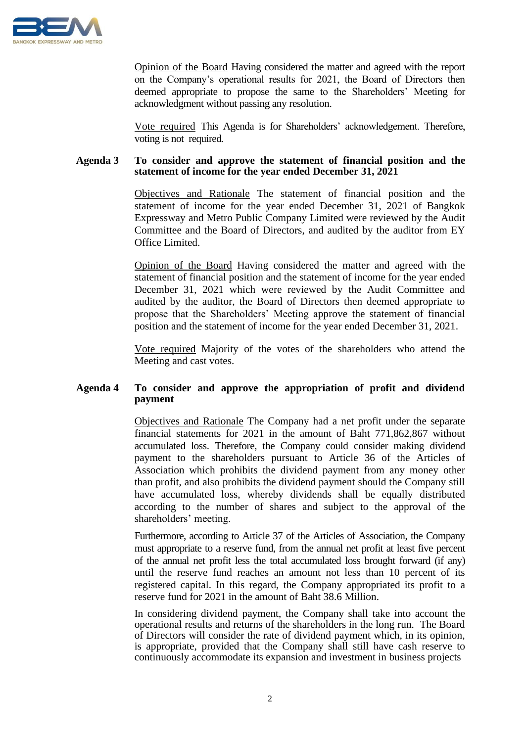

Opinion of the Board Having considered the matter and agreed with the report on the Company's operational results for 2021, the Board of Directors then deemed appropriate to propose the same to the Shareholders' Meeting for acknowledgment without passing any resolution.

Vote required This Agenda is for Shareholders' acknowledgement. Therefore, voting is not required.

## **Agenda 3 To consider and approve the statement of financial position and the statement of income for the year ended December 31, 2021**

Objectives and Rationale The statement of financial position and the statement of income for the year ended December 31, 2021 of Bangkok Expressway and Metro Public Company Limited were reviewed by the Audit Committee and the Board of Directors, and audited by the auditor from EY Office Limited.

Opinion of the Board Having considered the matter and agreed with the statement of financial position and the statement of income for the year ended December 31, 2021 which were reviewed by the Audit Committee and audited by the auditor, the Board of Directors then deemed appropriate to propose that the Shareholders' Meeting approve the statement of financial position and the statement of income for the year ended December 31, 2021.

Vote required Majority of the votes of the shareholders who attend the Meeting and cast votes.

## **Agenda 4 To consider and approve the appropriation of profit and dividend payment**

Objectives and Rationale The Company had a net profit under the separate financial statements for 2021 in the amount of Baht 771,862,867 without accumulated loss. Therefore, the Company could consider making dividend payment to the shareholders pursuant to Article 36 of the Articles of Association which prohibits the dividend payment from any money other than profit, and also prohibits the dividend payment should the Company still have accumulated loss, whereby dividends shall be equally distributed according to the number of shares and subject to the approval of the shareholders' meeting.

Furthermore, according to Article 37 of the Articles of Association, the Company must appropriate to a reserve fund, from the annual net profit at least five percent of the annual net profit less the total accumulated loss brought forward (if any) until the reserve fund reaches an amount not less than 10 percent of its registered capital. In this regard, the Company appropriated its profit to a reserve fund for 2021 in the amount of Baht 38.6 Million.

In considering dividend payment, the Company shall take into account the operational results and returns of the shareholders in the long run. The Board of Directors will consider the rate of dividend payment which, in its opinion, is appropriate, provided that the Company shall still have cash reserve to continuously accommodate its expansion and investment in business projects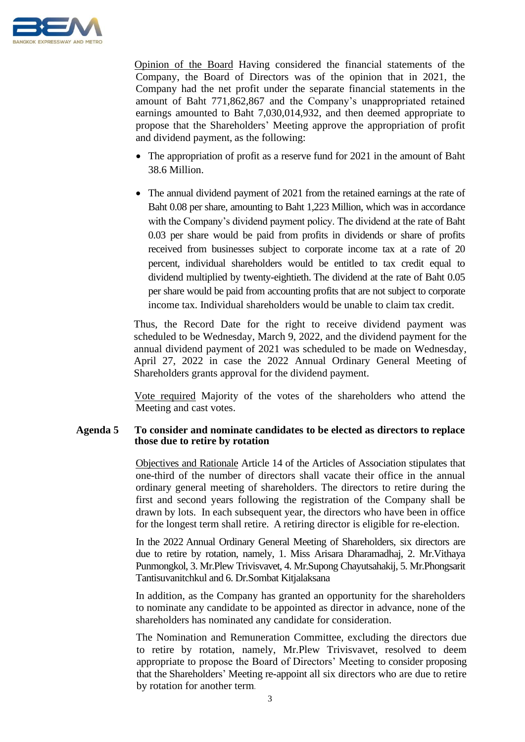

Opinion of the Board Having considered the financial statements of the Company, the Board of Directors was of the opinion that in 2021, the Company had the net profit under the separate financial statements in the amount of Baht 771,862,867 and the Company's unappropriated retained earnings amounted to Baht 7,030,014,932, and then deemed appropriate to propose that the Shareholders' Meeting approve the appropriation of profit and dividend payment, as the following:

- The appropriation of profit as a reserve fund for 2021 in the amount of Baht 38.6 Million.
- The annual dividend payment of 2021 from the retained earnings at the rate of Baht 0.08 per share, amounting to Baht 1,223 Million, which was in accordance with the Company's dividend payment policy. The dividend at the rate of Baht 0.03 per share would be paid from profits in dividends or share of profits received from businesses subject to corporate income tax at a rate of 20 percent, individual shareholders would be entitled to tax credit equal to dividend multiplied by twenty-eightieth. The dividend at the rate of Baht 0.05 per share would be paid from accounting profits that are not subject to corporate income tax. Individual shareholders would be unable to claim tax credit.

Thus, the Record Date for the right to receive dividend payment was scheduled to be Wednesday, March 9, 2022, and the dividend payment for the annual dividend payment of 2021 was scheduled to be made on Wednesday, April 27, 2022 in case the 2022 Annual Ordinary General Meeting of Shareholders grants approval for the dividend payment.

Vote required Majority of the votes of the shareholders who attend the Meeting and cast votes.

### **Agenda 5 To consider and nominate candidates to be elected as directors to replace those due to retire by rotation**

Objectives and Rationale Article 14 of the Articles of Association stipulates that one-third of the number of directors shall vacate their office in the annual ordinary general meeting of shareholders. The directors to retire during the first and second years following the registration of the Company shall be drawn by lots. In each subsequent year, the directors who have been in office for the longest term shall retire. A retiring director is eligible for re-election.

In the 2022 Annual Ordinary General Meeting of Shareholders, six directors are due to retire by rotation, namely, 1. Miss Arisara Dharamadhaj, 2. Mr.Vithaya Punmongkol, 3. Mr.Plew Trivisvavet, 4. Mr.Supong Chayutsahakij, 5. Mr.Phongsarit Tantisuvanitchkul and 6. Dr.Sombat Kitjalaksana

In addition, as the Company has granted an opportunity for the shareholders to nominate any candidate to be appointed as director in advance, none of the shareholders has nominated any candidate for consideration.

The Nomination and Remuneration Committee, excluding the directors due to retire by rotation, namely, Mr.Plew Trivisvavet, resolved to deem appropriate to propose the Board of Directors' Meeting to consider proposing that the Shareholders' Meeting re-appoint all six directors who are due to retire by rotation for another term.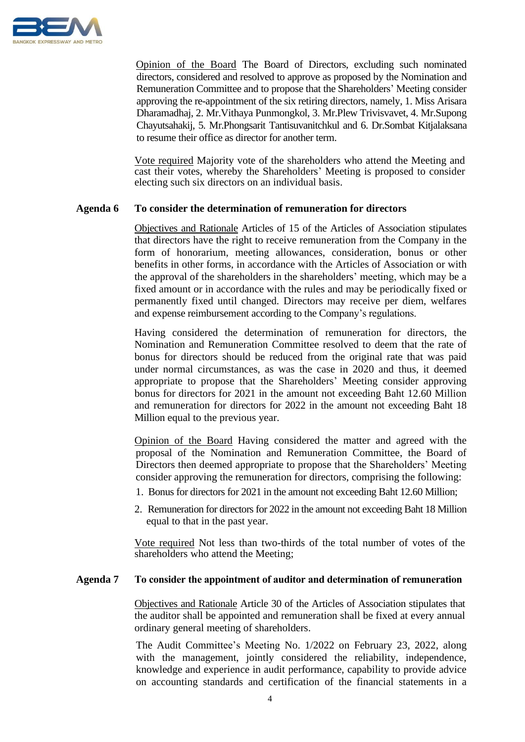

Opinion of the Board The Board of Directors, excluding such nominated directors, considered and resolved to approve as proposed by the Nomination and Remuneration Committee and to propose that the Shareholders' Meeting consider approving the re-appointment of the six retiring directors, namely, 1. Miss Arisara Dharamadhaj, 2. Mr.Vithaya Punmongkol, 3. Mr.Plew Trivisvavet, 4. Mr.Supong Chayutsahakij, 5. Mr.Phongsarit Tantisuvanitchkul and 6. Dr.Sombat Kitjalaksana to resume their office as director for another term.

Vote required Majority vote of the shareholders who attend the Meeting and cast their votes, whereby the Shareholders' Meeting is proposed to consider electing such six directors on an individual basis.

## **Agenda 6 To consider the determination of remuneration for directors**

Objectives and Rationale Articles of 15 of the Articles of Association stipulates that directors have the right to receive remuneration from the Company in the form of honorarium, meeting allowances, consideration, bonus or other benefits in other forms, in accordance with the Articles of Association or with the approval of the shareholders in the shareholders' meeting, which may be a fixed amount or in accordance with the rules and may be periodically fixed or permanently fixed until changed. Directors may receive per diem, welfares and expense reimbursement according to the Company's regulations.

Having considered the determination of remuneration for directors, the Nomination and Remuneration Committee resolved to deem that the rate of bonus for directors should be reduced from the original rate that was paid under normal circumstances, as was the case in 2020 and thus, it deemed appropriate to propose that the Shareholders' Meeting consider approving bonus for directors for 2021 in the amount not exceeding Baht 12.60 Million and remuneration for directors for 2022 in the amount not exceeding Baht 18 Million equal to the previous year.

Opinion of the Board Having considered the matter and agreed with the proposal of the Nomination and Remuneration Committee, the Board of Directors then deemed appropriate to propose that the Shareholders' Meeting consider approving the remuneration for directors, comprising the following:

- 1. Bonus for directors for 2021 in the amount not exceeding Baht 12.60 Million;
- 2. Remuneration for directors for 2022 in the amount not exceeding Baht 18 Million equal to that in the past year.

Vote required Not less than two-thirds of the total number of votes of the shareholders who attend the Meeting;

#### **Agenda 7 To consider the appointment of auditor and determination of remuneration**

Objectives and Rationale Article 30 of the Articles of Association stipulates that the auditor shall be appointed and remuneration shall be fixed at every annual ordinary general meeting of shareholders.

The Audit Committee's Meeting No. 1/2022 on February 23, 2022, along with the management, jointly considered the reliability, independence, knowledge and experience in audit performance, capability to provide advice on accounting standards and certification of the financial statements in a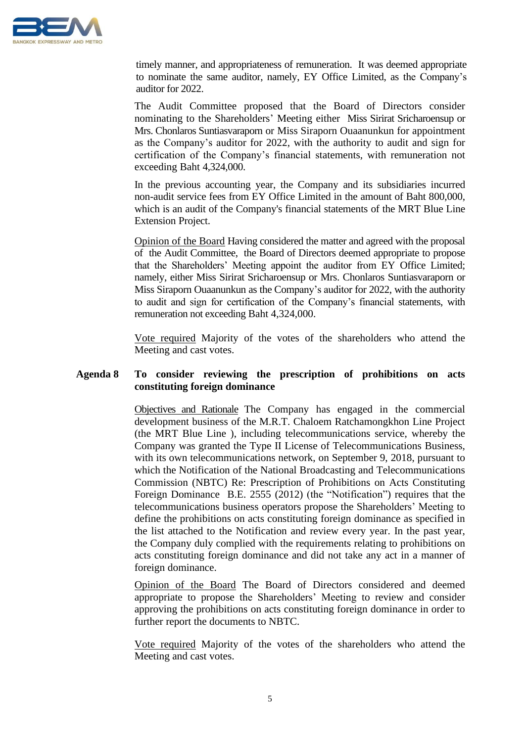

timely manner, and appropriateness of remuneration. It was deemed appropriate to nominate the same auditor, namely, EY Office Limited, as the Company's auditor for 2022.

The Audit Committee proposed that the Board of Directors consider nominating to the Shareholders' Meeting either Miss Sirirat Sricharoensup or Mrs. Chonlaros Suntiasvaraporn or Miss Siraporn Ouaanunkun for appointment as the Company's auditor for 2022, with the authority to audit and sign for certification of the Company's financial statements, with remuneration not exceeding Baht 4,324,000.

In the previous accounting year, the Company and its subsidiaries incurred non-audit service fees from EY Office Limited in the amount of Baht 800,000, which is an audit of the Company's financial statements of the MRT Blue Line Extension Project.

Opinion of the Board Having considered the matter and agreed with the proposal of the Audit Committee, the Board of Directors deemed appropriate to propose that the Shareholders' Meeting appoint the auditor from EY Office Limited; namely, either Miss Sirirat Sricharoensup or Mrs. Chonlaros Suntiasvaraporn or Miss Siraporn Ouaanunkun as the Company's auditor for 2022, with the authority to audit and sign for certification of the Company's financial statements, with remuneration not exceeding Baht 4,324,000.

Vote required Majority of the votes of the shareholders who attend the Meeting and cast votes.

# **Agenda 8 To consider reviewing the prescription of prohibitions on acts constituting foreign dominance**

Objectives and Rationale The Company has engaged in the commercial development business of the M.R.T. Chaloem Ratchamongkhon Line Project (the MRT Blue Line ), including telecommunications service, whereby the Company was granted the Type II License of Telecommunications Business, with its own telecommunications network, on September 9, 2018, pursuant to which the Notification of the National Broadcasting and Telecommunications Commission (NBTC) Re: Prescription of Prohibitions on Acts Constituting Foreign Dominance B.E. 2555 (2012) (the "Notification") requires that the telecommunications business operators propose the Shareholders' Meeting to define the prohibitions on acts constituting foreign dominance as specified in the list attached to the Notification and review every year. In the past year, the Company duly complied with the requirements relating to prohibitions on acts constituting foreign dominance and did not take any act in a manner of foreign dominance.

Opinion of the Board The Board of Directors considered and deemed appropriate to propose the Shareholders' Meeting to review and consider approving the prohibitions on acts constituting foreign dominance in order to further report the documents to NBTC.

Vote required Majority of the votes of the shareholders who attend the Meeting and cast votes.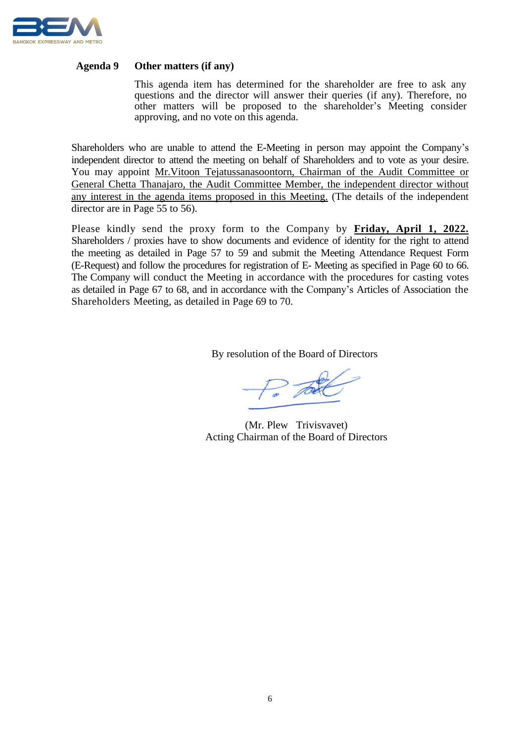

## **Agenda 9 Other matters (if any)**

This agenda item has determined for the shareholder are free to ask any questions and the director will answer their queries (if any). Therefore, no other matters will be proposed to the shareholder's Meeting consider approving, and no vote on this agenda.

Shareholders who are unable to attend the E-Meeting in person may appoint the Company's independent director to attend the meeting on behalf of Shareholders and to vote as your desire. You may appoint Mr.Vitoon Tejatussanasoontorn, Chairman of the Audit Committee or General Chetta Thanajaro, the Audit Committee Member, the independent director without any interest in the agenda items proposed in this Meeting. (The details of the independent director are in Page 55 to 56).

Please kindly send the proxy form to the Company by **Friday, April 1, 2022.** Shareholders / proxies have to show documents and evidence of identity for the right to attend the meeting as detailed in Page 57 to 59 and submit the Meeting Attendance Request Form (E-Request) and follow the procedures for registration of E- Meeting as specified in Page 60 to 66. The Company will conduct the Meeting in accordance with the procedures for casting votes as detailed in Page 67 to 68, and in accordance with the Company's Articles of Association the Shareholders Meeting, as detailed in Page 69 to 70.

By resolution of the Board of Directors

(Mr. Plew Trivisvavet) Acting Chairman of the Board of Directors